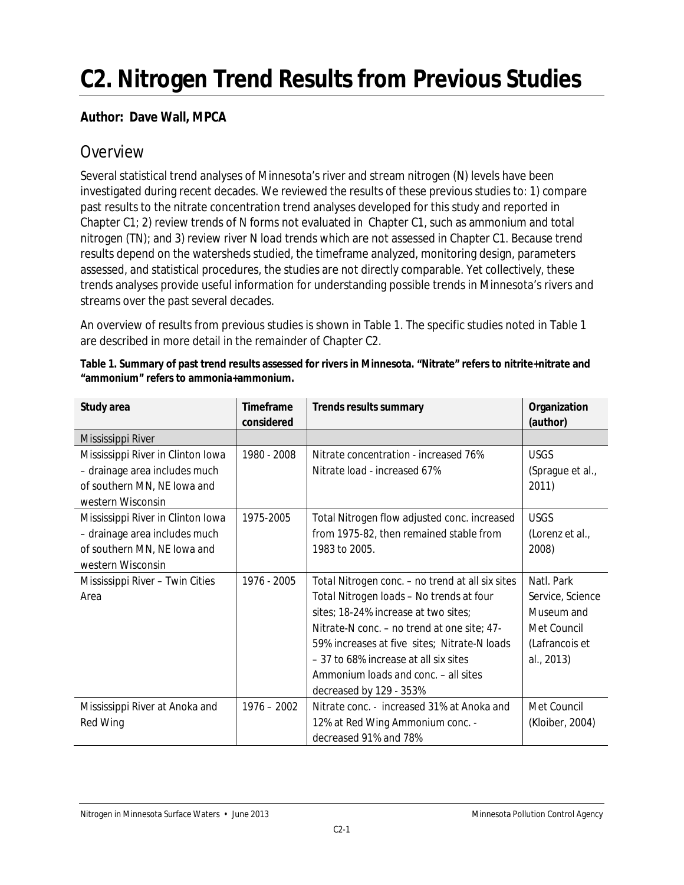# **C2. Nitrogen Trend Results from Previous Studies**

#### **Author: Dave Wall, MPCA**

## **Overview**

Several statistical trend analyses of Minnesota's river and stream nitrogen (N) levels have been investigated during recent decades. We reviewed the results of these previous studies to: 1) compare past results to the nitrate concentration trend analyses developed for this study and reported in Chapter C1; 2) review trends of N forms not evaluated in Chapter C1, such as ammonium and total nitrogen (TN); and 3) review river N *load* trends which are not assessed in Chapter C1. Because trend results depend on the watersheds studied, the timeframe analyzed, monitoring design, parameters assessed, and statistical procedures, the studies are not directly comparable. Yet collectively, these trends analyses provide useful information for understanding possible trends in Minnesota's rivers and streams over the past several decades.

An overview of results from previous studies is shown in Table 1. The specific studies noted in Table 1 are described in more detail in the remainder of Chapter C2.

| Study area                        | Timeframe     | Trends results summary                           | Organization     |
|-----------------------------------|---------------|--------------------------------------------------|------------------|
|                                   | considered    |                                                  | (author)         |
| Mississippi River                 |               |                                                  |                  |
| Mississippi River in Clinton Iowa | 1980 - 2008   | Nitrate concentration - increased 76%            | <b>USGS</b>      |
| - drainage area includes much     |               | Nitrate load - increased 67%                     | (Sprague et al., |
| of southern MN, NE lowa and       |               |                                                  | 2011)            |
| western Wisconsin                 |               |                                                  |                  |
| Mississippi River in Clinton Iowa | 1975-2005     | Total Nitrogen flow adjusted conc. increased     | <b>USGS</b>      |
| - drainage area includes much     |               | from 1975-82, then remained stable from          | (Lorenz et al.,  |
| of southern MN, NE lowa and       |               | 1983 to 2005.                                    | 2008)            |
| western Wisconsin                 |               |                                                  |                  |
| Mississippi River - Twin Cities   | 1976 - 2005   | Total Nitrogen conc. - no trend at all six sites | Natl. Park       |
| Area                              |               | Total Nitrogen loads - No trends at four         | Service, Science |
|                                   |               | sites; 18-24% increase at two sites;             | Museum and       |
|                                   |               | Nitrate-N conc. – no trend at one site; 47-      | Met Council      |
|                                   |               | 59% increases at five sites; Nitrate-N loads     | (Lafrancois et   |
|                                   |               | -37 to 68% increase at all six sites             | al., 2013)       |
|                                   |               | Ammonium loads and conc. - all sites             |                  |
|                                   |               | decreased by 129 - 353%                          |                  |
| Mississippi River at Anoka and    | $1976 - 2002$ | Nitrate conc. - increased 31% at Anoka and       | Met Council      |
| Red Wing                          |               | 12% at Red Wing Ammonium conc. -                 | (Kloiber, 2004)  |
|                                   |               | decreased 91% and 78%                            |                  |

**Table 1. Summary of past trend results assessed for rivers in Minnesota. "Nitrate" refers to nitrite+nitrate and "ammonium" refers to ammonia+ammonium.**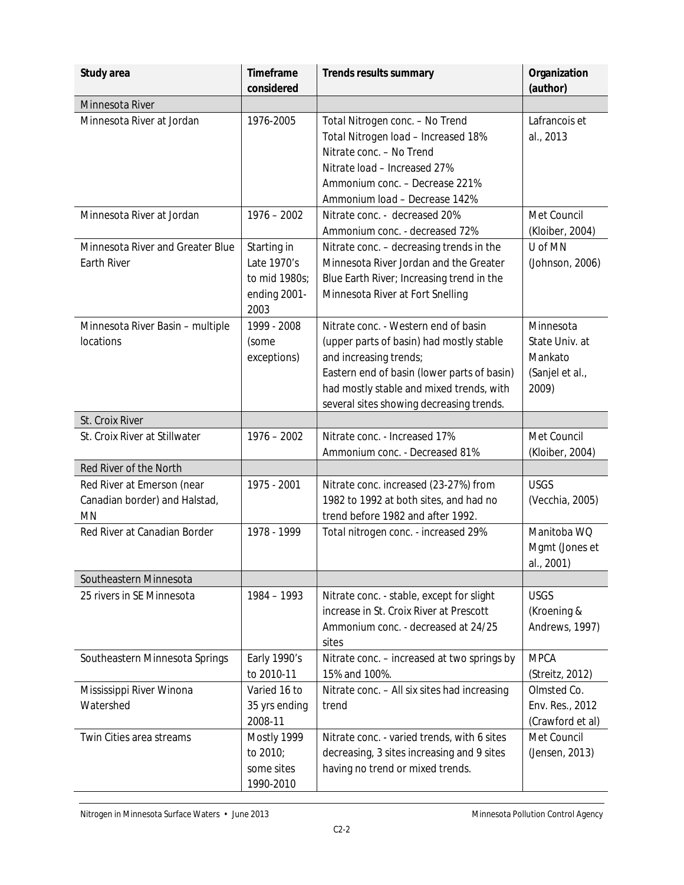| Study area                                                                                               | Timeframe<br>considered                                             | Trends results summary                                                                                                                                                                                                                            | Organization<br>(author)                                                      |
|----------------------------------------------------------------------------------------------------------|---------------------------------------------------------------------|---------------------------------------------------------------------------------------------------------------------------------------------------------------------------------------------------------------------------------------------------|-------------------------------------------------------------------------------|
| Minnesota River                                                                                          |                                                                     |                                                                                                                                                                                                                                                   |                                                                               |
| Minnesota River at Jordan                                                                                | 1976-2005                                                           | Total Nitrogen conc. - No Trend<br>Total Nitrogen load - Increased 18%<br>Nitrate conc. - No Trend<br>Nitrate load - Increased 27%<br>Ammonium conc. - Decrease 221%<br>Ammonium load - Decrease 142%                                             | Lafrancois et<br>al., 2013                                                    |
| Minnesota River at Jordan                                                                                | $1976 - 2002$                                                       | Nitrate conc. - decreased 20%<br>Ammonium conc. - decreased 72%                                                                                                                                                                                   | Met Council<br>(Kloiber, 2004)                                                |
| Minnesota River and Greater Blue<br>Earth River                                                          | Starting in<br>Late 1970's<br>to mid 1980s;<br>ending 2001-<br>2003 | Nitrate conc. - decreasing trends in the<br>Minnesota River Jordan and the Greater<br>Blue Earth River; Increasing trend in the<br>Minnesota River at Fort Snelling                                                                               | U of MN<br>(Johnson, 2006)                                                    |
| Minnesota River Basin - multiple<br>locations                                                            | 1999 - 2008<br>(some<br>exceptions)                                 | Nitrate conc. - Western end of basin<br>(upper parts of basin) had mostly stable<br>and increasing trends;<br>Eastern end of basin (lower parts of basin)<br>had mostly stable and mixed trends, with<br>several sites showing decreasing trends. | Minnesota<br>State Univ. at<br>Mankato<br>(Sanjel et al.,<br>2009)            |
| St. Croix River                                                                                          |                                                                     |                                                                                                                                                                                                                                                   |                                                                               |
| St. Croix River at Stillwater                                                                            | $1976 - 2002$                                                       | Nitrate conc. - Increased 17%<br>Ammonium conc. - Decreased 81%                                                                                                                                                                                   | Met Council<br>(Kloiber, 2004)                                                |
| Red River of the North                                                                                   |                                                                     |                                                                                                                                                                                                                                                   |                                                                               |
| Red River at Emerson (near<br>Canadian border) and Halstad,<br><b>MN</b><br>Red River at Canadian Border | 1975 - 2001<br>1978 - 1999                                          | Nitrate conc. increased (23-27%) from<br>1982 to 1992 at both sites, and had no<br>trend before 1982 and after 1992.<br>Total nitrogen conc. - increased 29%                                                                                      | <b>USGS</b><br>(Vecchia, 2005)<br>Manitoba WQ<br>Mgmt (Jones et<br>al., 2001) |
| Southeastern Minnesota                                                                                   |                                                                     |                                                                                                                                                                                                                                                   |                                                                               |
| 25 rivers in SE Minnesota                                                                                | 1984 - 1993                                                         | Nitrate conc. - stable, except for slight<br>increase in St. Croix River at Prescott<br>Ammonium conc. - decreased at 24/25<br>sites                                                                                                              | <b>USGS</b><br>(Kroening &<br>Andrews, 1997)                                  |
| Southeastern Minnesota Springs                                                                           | Early 1990's<br>to 2010-11                                          | Nitrate conc. - increased at two springs by<br>15% and 100%.                                                                                                                                                                                      | <b>MPCA</b><br>(Streitz, 2012)                                                |
| Mississippi River Winona<br>Watershed                                                                    | Varied 16 to<br>35 yrs ending<br>2008-11                            | Nitrate conc. - All six sites had increasing<br>trend                                                                                                                                                                                             | Olmsted Co.<br>Env. Res., 2012<br>(Crawford et al)                            |
| Twin Cities area streams                                                                                 | Mostly 1999<br>to 2010;<br>some sites<br>1990-2010                  | Nitrate conc. - varied trends, with 6 sites<br>decreasing, 3 sites increasing and 9 sites<br>having no trend or mixed trends.                                                                                                                     | Met Council<br>(Jensen, 2013)                                                 |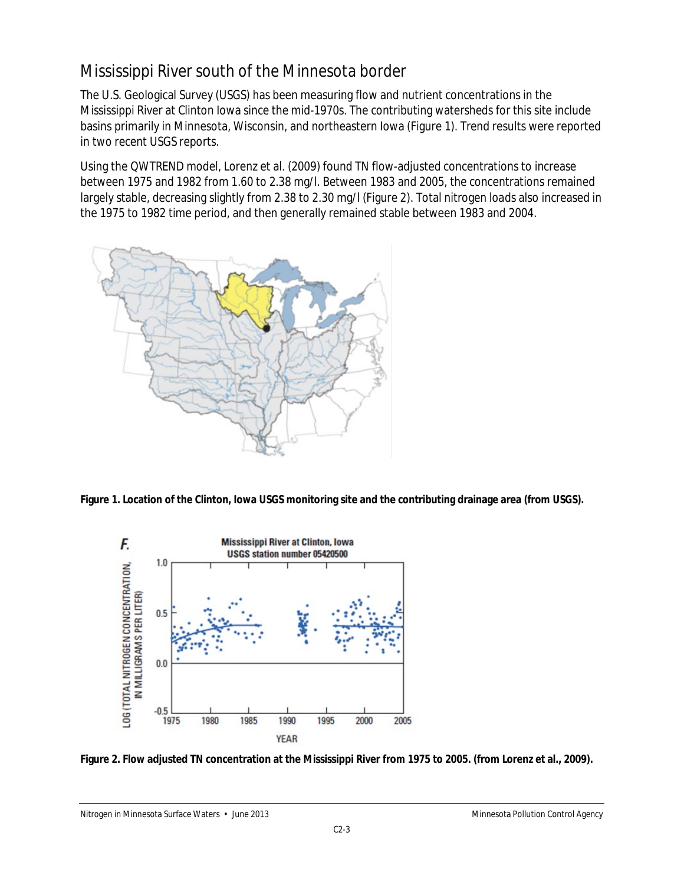# Mississippi River south of the Minnesota border

The U.S. Geological Survey (USGS) has been measuring flow and nutrient concentrations in the Mississippi River at Clinton Iowa since the mid-1970s. The contributing watersheds for this site include basins primarily in Minnesota, Wisconsin, and northeastern Iowa (Figure 1). Trend results were reported in two recent USGS reports.

Using the QWTREND model, Lorenz et al. (2009) found TN flow-adjusted concentrations to increase between 1975 and 1982 from 1.60 to 2.38 mg/l. Between 1983 and 2005, the concentrations remained largely stable, decreasing slightly from 2.38 to 2.30 mg/l (Figure 2). Total nitrogen *loads* also increased in the 1975 to 1982 time period, and then generally remained stable between 1983 and 2004.



**Figure 1. Location of the Clinton, Iowa USGS monitoring site and the contributing drainage area (from USGS).** 



**Figure 2. Flow adjusted TN concentration at the Mississippi River from 1975 to 2005. (from Lorenz et al., 2009).**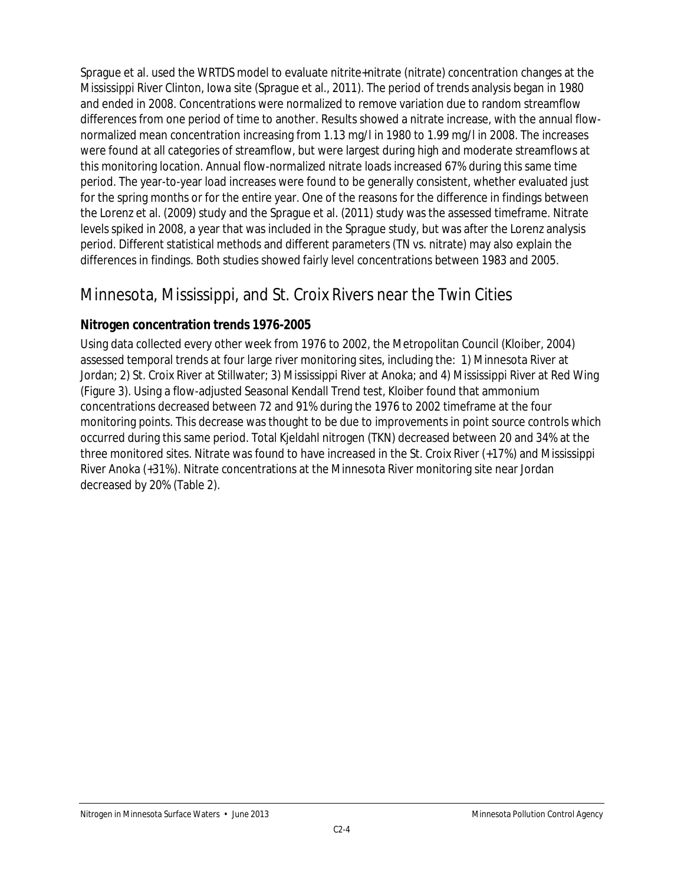Sprague et al. used the WRTDS model to evaluate nitrite+nitrate (nitrate) concentration changes at the Mississippi River Clinton, Iowa site (Sprague et al., 2011). The period of trends analysis began in 1980 and ended in 2008. Concentrations were normalized to remove variation due to random streamflow differences from one period of time to another. Results showed a nitrate increase, with the annual flownormalized mean concentration increasing from 1.13 mg/l in 1980 to 1.99 mg/l in 2008. The increases were found at all categories of streamflow, but were largest during high and moderate streamflows at this monitoring location. Annual flow-normalized nitrate loads increased 67% during this same time period. The year-to-year load increases were found to be generally consistent, whether evaluated just for the spring months or for the entire year. One of the reasons for the difference in findings between the Lorenz et al. (2009) study and the Sprague et al. (2011) study was the assessed timeframe. Nitrate levels spiked in 2008, a year that was included in the Sprague study, but was after the Lorenz analysis period. Different statistical methods and different parameters (TN vs. nitrate) may also explain the differences in findings. Both studies showed fairly level concentrations between 1983 and 2005.

## Minnesota, Mississippi, and St. Croix Rivers near the Twin Cities

#### **Nitrogen concentration trends 1976-2005**

Using data collected every other week from 1976 to 2002, the Metropolitan Council (Kloiber, 2004) assessed temporal trends at four large river monitoring sites, including the: 1) Minnesota River at Jordan; 2) St. Croix River at Stillwater; 3) Mississippi River at Anoka; and 4) Mississippi River at Red Wing (Figure 3). Using a flow-adjusted Seasonal Kendall Trend test, Kloiber found that ammonium concentrations decreased between 72 and 91% during the 1976 to 2002 timeframe at the four monitoring points. This decrease was thought to be due to improvements in point source controls which occurred during this same period. Total Kjeldahl nitrogen (TKN) decreased between 20 and 34% at the three monitored sites. Nitrate was found to have increased in the St. Croix River (+17%) and Mississippi River Anoka (+31%). Nitrate concentrations at the Minnesota River monitoring site near Jordan decreased by 20% (Table 2).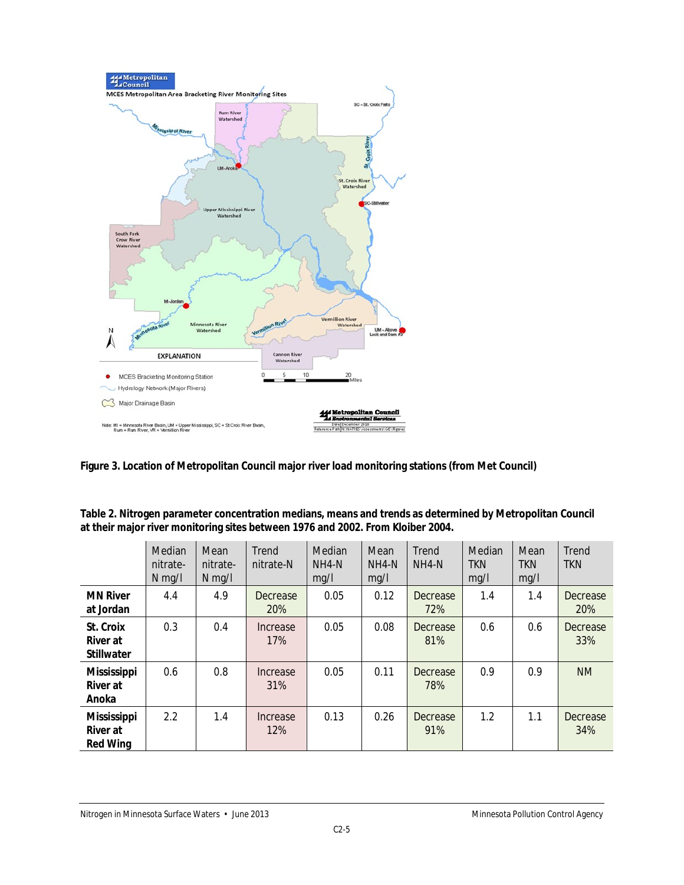

**Figure 3. Location of Metropolitan Council major river load monitoring stations (from Met Council)**

**Table 2. Nitrogen parameter concentration medians, means and trends as determined by Metropolitan Council at their major river monitoring sites between 1976 and 2002. From Kloiber 2004.** 

|                                                          | Median<br>nitrate-<br>$N$ mg/l | Mean<br>nitrate-<br>$N$ mg/l | Trend<br>nitrate-N     | Median<br>NH4-N<br>mq/l | Mean<br>NH4-N<br>mg/l | Trend<br>NH4-N  | Median<br><b>TKN</b><br>mq/l | Mean<br><b>TKN</b><br>mg/l | Trend<br><b>TKN</b> |
|----------------------------------------------------------|--------------------------------|------------------------------|------------------------|-------------------------|-----------------------|-----------------|------------------------------|----------------------------|---------------------|
| <b>MN River</b><br>at Jordan                             | 4.4                            | 4.9                          | Decrease<br><b>20%</b> | 0.05                    | 0.12                  | Decrease<br>72% | 1.4                          | 1.4                        | Decrease<br>20%     |
| St. Croix<br>River at<br><b>Stillwater</b>               | 0.3                            | 0.4                          | Increase<br>17%        | 0.05                    | 0.08                  | Decrease<br>81% | 0.6                          | 0.6                        | Decrease<br>33%     |
| <b>Mississippi</b><br>River at<br>Anoka                  | 0.6                            | 0.8                          | Increase<br>31%        | 0.05                    | 0.11                  | Decrease<br>78% | 0.9                          | 0.9                        | <b>NM</b>           |
| <b>Mississippi</b><br><b>River</b> at<br><b>Red Wing</b> | 2.2                            | 1.4                          | Increase<br>12%        | 0.13                    | 0.26                  | Decrease<br>91% | 1.2                          | 1.1                        | Decrease<br>34%     |

Nitrogen in Minnesota Surface Waters • June 2013 Minnesota Pollution Control Agency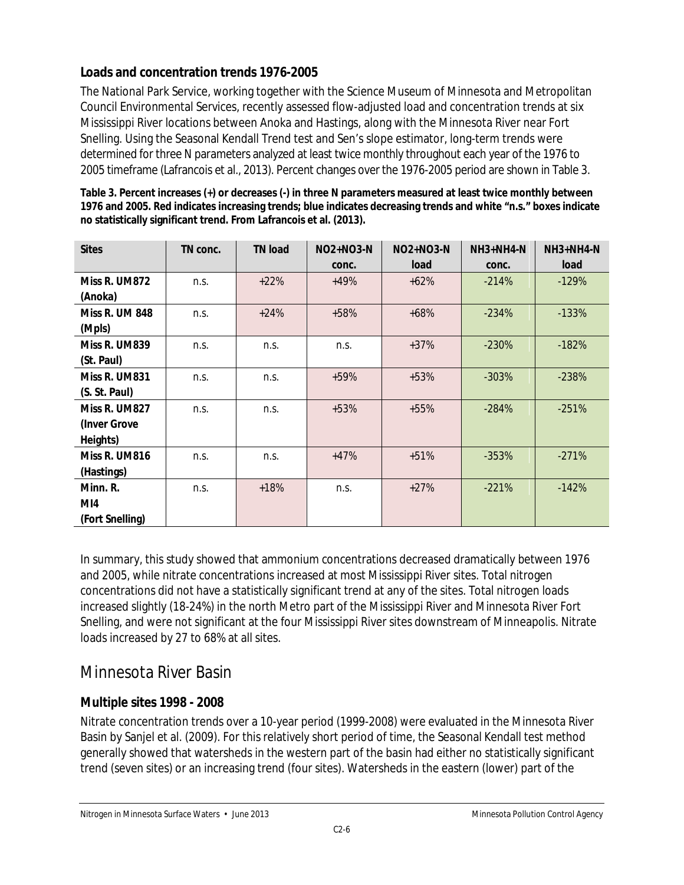#### **Loads and concentration trends 1976-2005**

The National Park Service, working together with the Science Museum of Minnesota and Metropolitan Council Environmental Services, recently assessed flow-adjusted load and concentration trends at six Mississippi River locations between Anoka and Hastings, along with the Minnesota River near Fort Snelling. Using the Seasonal Kendall Trend test and Sen's slope estimator, long-term trends were determined for three N parameters analyzed at least twice monthly throughout each year of the 1976 to 2005 timeframe (Lafrancois et al., 2013). Percent changes over the 1976-2005 period are shown in Table 3.

| <b>Sites</b>          | TN conc. | <b>TN load</b> | $NO2+NO3-N$ | $NO2+NO3-N$ | $NH3+NH4-N$ | $NH3+NH4-N$ |
|-----------------------|----------|----------------|-------------|-------------|-------------|-------------|
|                       |          |                | conc.       | load        | conc.       | load        |
|                       |          |                |             |             |             |             |
| Miss R. UM872         | n.s.     | $+22%$         | $+49%$      | $+62%$      | $-214%$     | $-129%$     |
| (Anoka)               |          |                |             |             |             |             |
| <b>Miss R. UM 848</b> | n.s.     | $+24%$         | $+58%$      | $+68%$      | $-234%$     | $-133%$     |
| (Mpls)                |          |                |             |             |             |             |
| Miss R. UM839         | n.s.     | n.s.           | n.s.        | $+37%$      | $-230%$     | $-182%$     |
| (St. Paul)            |          |                |             |             |             |             |
| Miss R. UM831         | n.s.     | n.s.           | $+59%$      | $+53%$      | $-303%$     | $-238%$     |
| (S. St. Paul)         |          |                |             |             |             |             |
| Miss R. UM827         | n.s.     | n.s.           | $+53%$      | $+55%$      | $-284%$     | $-251%$     |
| (Inver Grove          |          |                |             |             |             |             |
| Heights)              |          |                |             |             |             |             |
| Miss R. UM816         | n.s.     | n.s.           | $+47%$      | $+51%$      | $-353%$     | $-271%$     |
| (Hastings)            |          |                |             |             |             |             |
| Minn. R.              | n.s.     | $+18%$         | n.s.        | $+27%$      | $-221%$     | $-142%$     |
| MI4                   |          |                |             |             |             |             |
| (Fort Snelling)       |          |                |             |             |             |             |

**Table 3. Percent increases (+) or decreases (-) in three N parameters measured at least twice monthly between 1976 and 2005. Red indicates increasing trends; blue indicates decreasing trends and white "n.s." boxes indicate no statistically significant trend. From Lafrancois et al. (2013).**

In summary, this study showed that ammonium concentrations decreased dramatically between 1976 and 2005, while nitrate concentrations increased at most Mississippi River sites. Total nitrogen concentrations did not have a statistically significant trend at any of the sites. Total nitrogen loads increased slightly (18-24%) in the north Metro part of the Mississippi River and Minnesota River Fort Snelling, and were not significant at the four Mississippi River sites downstream of Minneapolis. Nitrate loads increased by 27 to 68% at all sites.

# Minnesota River Basin

#### **Multiple sites 1998 - 2008**

Nitrate concentration trends over a 10-year period (1999-2008) were evaluated in the Minnesota River Basin by Sanjel et al. (2009). For this relatively short period of time, the Seasonal Kendall test method generally showed that watersheds in the western part of the basin had either no statistically significant trend (seven sites) or an increasing trend (four sites). Watersheds in the eastern (lower) part of the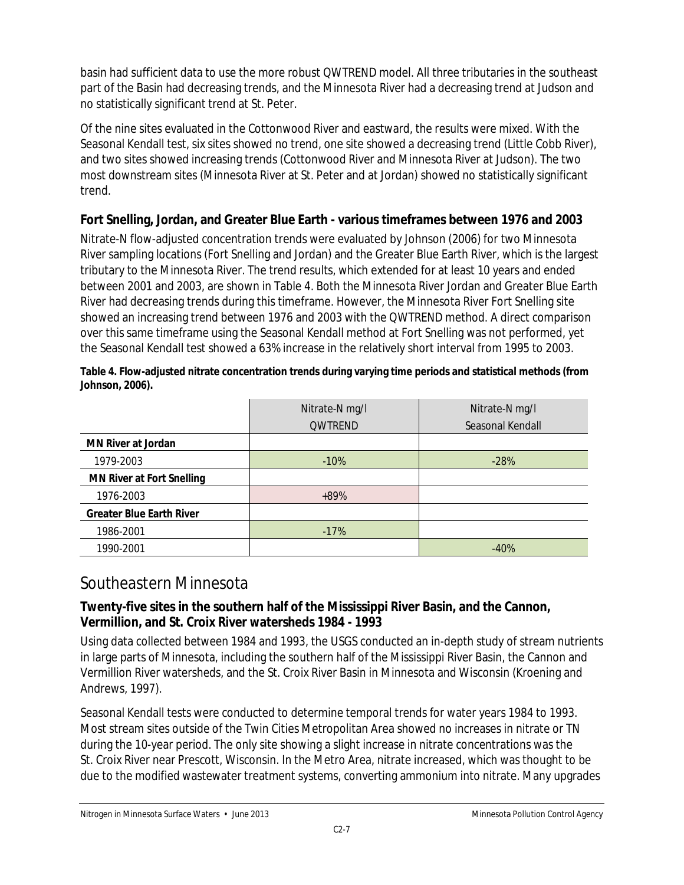basin had sufficient data to use the more robust QWTREND model. All three tributaries in the southeast part of the Basin had decreasing trends, and the Minnesota River had a decreasing trend at Judson and no statistically significant trend at St. Peter.

Of the nine sites evaluated in the Cottonwood River and eastward, the results were mixed. With the Seasonal Kendall test, six sites showed no trend, one site showed a decreasing trend (Little Cobb River), and two sites showed increasing trends (Cottonwood River and Minnesota River at Judson). The two most downstream sites (Minnesota River at St. Peter and at Jordan) showed no statistically significant trend.

#### **Fort Snelling, Jordan, and Greater Blue Earth - various timeframes between 1976 and 2003**

Nitrate-N flow-adjusted concentration trends were evaluated by Johnson (2006) for two Minnesota River sampling locations (Fort Snelling and Jordan) and the Greater Blue Earth River, which is the largest tributary to the Minnesota River. The trend results, which extended for at least 10 years and ended between 2001 and 2003, are shown in Table 4. Both the Minnesota River Jordan and Greater Blue Earth River had decreasing trends during this timeframe. However, the Minnesota River Fort Snelling site showed an increasing trend between 1976 and 2003 with the QWTREND method. A direct comparison over this same timeframe using the Seasonal Kendall method at Fort Snelling was not performed, yet the Seasonal Kendall test showed a 63% increase in the relatively short interval from 1995 to 2003.

|                                  | Nitrate-N mg/l | Nitrate-N mg/l   |
|----------------------------------|----------------|------------------|
|                                  | <b>QWTREND</b> | Seasonal Kendall |
| <b>MN River at Jordan</b>        |                |                  |
| 1979-2003                        | $-10%$         | $-28%$           |
| <b>MN River at Fort Snelling</b> |                |                  |
| 1976-2003                        | $+89%$         |                  |
| <b>Greater Blue Earth River</b>  |                |                  |
| 1986-2001                        | $-17%$         |                  |
| 1990-2001                        |                | $-40%$           |

**Table 4. Flow-adjusted nitrate concentration trends during varying time periods and statistical methods (from Johnson, 2006).** 

## Southeastern Minnesota

#### **Twenty-five sites in the southern half of the Mississippi River Basin, and the Cannon, Vermillion, and St. Croix River watersheds 1984 - 1993**

Using data collected between 1984 and 1993, the USGS conducted an in-depth study of stream nutrients in large parts of Minnesota, including the southern half of the Mississippi River Basin, the Cannon and Vermillion River watersheds, and the St. Croix River Basin in Minnesota and Wisconsin (Kroening and Andrews, 1997).

Seasonal Kendall tests were conducted to determine temporal trends for water years 1984 to 1993. Most stream sites outside of the Twin Cities Metropolitan Area showed no increases in nitrate or TN during the 10-year period. The only site showing a slight increase in nitrate concentrations was the St. Croix River near Prescott, Wisconsin. In the Metro Area, nitrate increased, which was thought to be due to the modified wastewater treatment systems, converting ammonium into nitrate. Many upgrades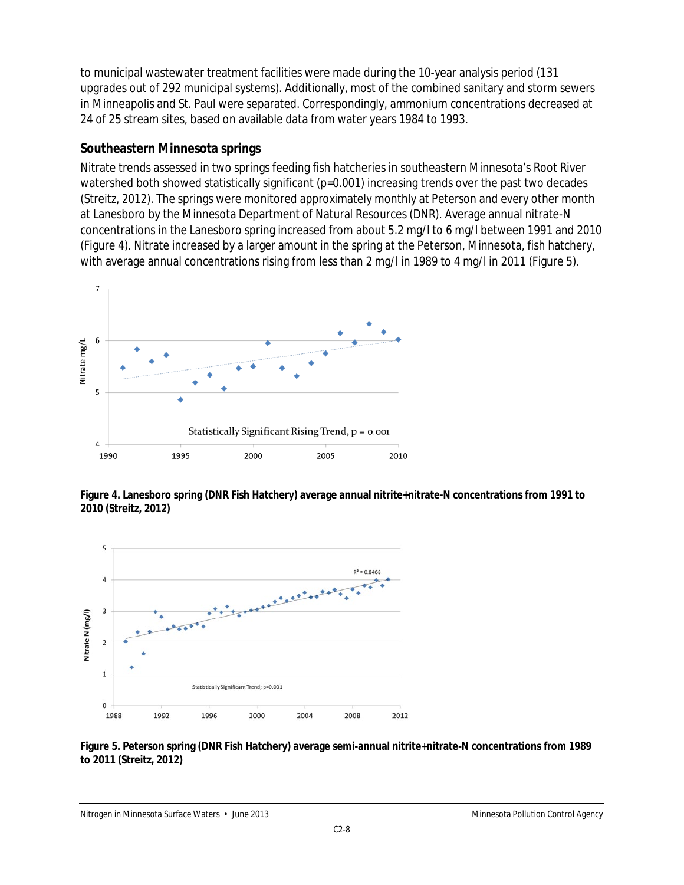to municipal wastewater treatment facilities were made during the 10-year analysis period (131 upgrades out of 292 municipal systems). Additionally, most of the combined sanitary and storm sewers in Minneapolis and St. Paul were separated. Correspondingly, ammonium concentrations decreased at 24 of 25 stream sites, based on available data from water years 1984 to 1993.

#### **Southeastern Minnesota springs**

Nitrate trends assessed in two springs feeding fish hatcheries in southeastern Minnesota's Root River watershed both showed statistically significant (p=0.001) increasing trends over the past two decades (Streitz, 2012). The springs were monitored approximately monthly at Peterson and every other month at Lanesboro by the Minnesota Department of Natural Resources (DNR). Average annual nitrate-N concentrations in the Lanesboro spring increased from about 5.2 mg/l to 6 mg/l between 1991 and 2010 (Figure 4). Nitrate increased by a larger amount in the spring at the Peterson, Minnesota, fish hatchery, with average annual concentrations rising from less than 2 mg/l in 1989 to 4 mg/l in 2011 (Figure 5).



**Figure 4. Lanesboro spring (DNR Fish Hatchery) average annual nitrite+nitrate-N concentrations from 1991 to 2010 (Streitz, 2012)**



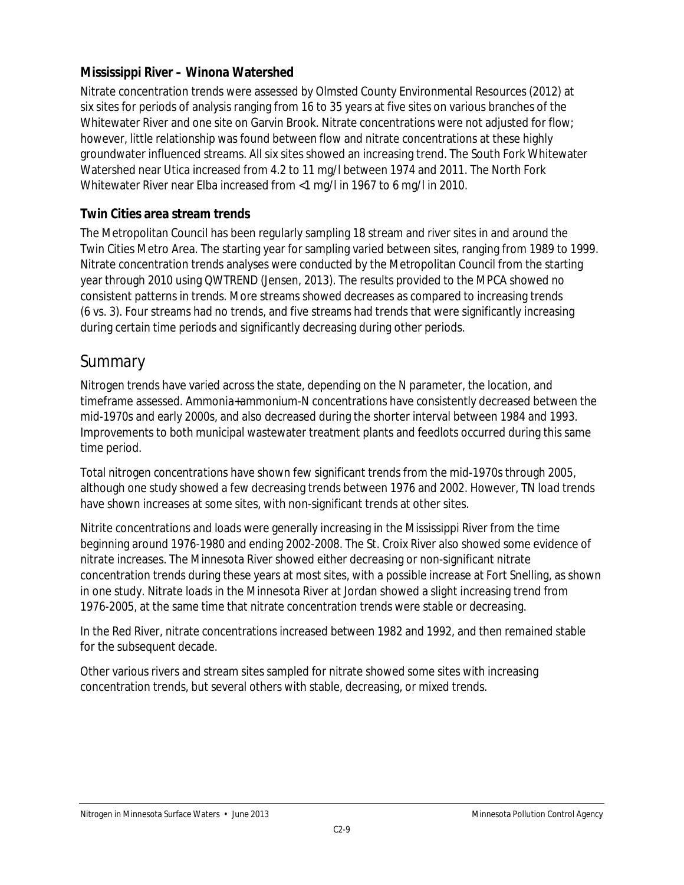#### **Mississippi River – Winona Watershed**

Nitrate concentration trends were assessed by Olmsted County Environmental Resources (2012) at six sites for periods of analysis ranging from 16 to 35 years at five sites on various branches of the Whitewater River and one site on Garvin Brook. Nitrate concentrations were not adjusted for flow; however, little relationship was found between flow and nitrate concentrations at these highly groundwater influenced streams. All six sites showed an increasing trend. The South Fork Whitewater Watershed near Utica increased from 4.2 to 11 mg/l between 1974 and 2011. The North Fork Whitewater River near Elba increased from <1 mg/l in 1967 to 6 mg/l in 2010.

#### **Twin Cities area stream trends**

The Metropolitan Council has been regularly sampling 18 stream and river sites in and around the Twin Cities Metro Area. The starting year for sampling varied between sites, ranging from 1989 to 1999. Nitrate concentration trends analyses were conducted by the Metropolitan Council from the starting year through 2010 using QWTREND (Jensen, 2013). The results provided to the MPCA showed no consistent patterns in trends. More streams showed decreases as compared to increasing trends (6 vs. 3). Four streams had no trends, and five streams had trends that were significantly increasing during certain time periods and significantly decreasing during other periods.

## Summary

Nitrogen trends have varied across the state, depending on the N parameter, the location, and timeframe assessed. Ammonia+ammonium-N concentrations have consistently decreased between the mid-1970s and early 2000s, and also decreased during the shorter interval between 1984 and 1993. Improvements to both municipal wastewater treatment plants and feedlots occurred during this same time period.

Total nitrogen *concentrations* have shown few significant trends from the mid-1970s through 2005, although one study showed a few decreasing trends between 1976 and 2002. However, TN *load* trends have shown increases at some sites, with non-significant trends at other sites.

Nitrite concentrations and loads were generally increasing in the Mississippi River from the time beginning around 1976-1980 and ending 2002-2008. The St. Croix River also showed some evidence of nitrate increases. The Minnesota River showed either decreasing or non-significant nitrate concentration trends during these years at most sites, with a possible increase at Fort Snelling, as shown in one study. Nitrate *loads* in the Minnesota River at Jordan showed a slight increasing trend from 1976-2005, at the same time that nitrate concentration trends were stable or decreasing.

In the Red River, nitrate concentrations increased between 1982 and 1992, and then remained stable for the subsequent decade.

Other various rivers and stream sites sampled for nitrate showed some sites with increasing concentration trends, but several others with stable, decreasing, or mixed trends.